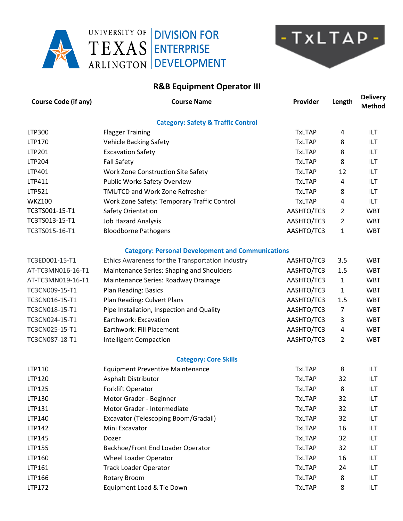





## **R&B Equipment Operator III**

| <b>Course Code (if any)</b> | <b>Course Name</b>                                       | Provider      | Length         | <b>Delivery</b><br><b>Method</b> |
|-----------------------------|----------------------------------------------------------|---------------|----------------|----------------------------------|
|                             | <b>Category: Safety &amp; Traffic Control</b>            |               |                |                                  |
| LTP300                      | <b>Flagger Training</b>                                  | <b>TxLTAP</b> | 4              | ILT                              |
| LTP170                      | <b>Vehicle Backing Safety</b>                            | <b>TxLTAP</b> | 8              | ILT                              |
| LTP201                      | <b>Excavation Safety</b>                                 | <b>TxLTAP</b> | 8              | ILT                              |
| LTP204                      | <b>Fall Safety</b>                                       | <b>TxLTAP</b> | 8              | ILT                              |
| LTP401                      | Work Zone Construction Site Safety                       | <b>TxLTAP</b> | 12             | ILT                              |
| LTP411                      | <b>Public Works Safety Overview</b>                      | <b>TxLTAP</b> | 4              | ILT                              |
| LTP521                      | <b>TMUTCD and Work Zone Refresher</b>                    | <b>TxLTAP</b> | 8              | <b>ILT</b>                       |
| <b>WKZ100</b>               | Work Zone Safety: Temporary Traffic Control              | <b>TxLTAP</b> | 4              | <b>ILT</b>                       |
| TC3TS001-15-T1              | Safety Orientation                                       | AASHTO/TC3    | 2              | <b>WBT</b>                       |
| TC3TS013-15-T1              | <b>Job Hazard Analysis</b>                               | AASHTO/TC3    | 2              | <b>WBT</b>                       |
| TC3TS015-16-T1              | <b>Bloodborne Pathogens</b>                              | AASHTO/TC3    | 1              | <b>WBT</b>                       |
|                             | <b>Category: Personal Development and Communications</b> |               |                |                                  |
| TC3ED001-15-T1              | Ethics Awareness for the Transportation Industry         | AASHTO/TC3    | 3.5            | <b>WBT</b>                       |
| AT-TC3MN016-16-T1           | Maintenance Series: Shaping and Shoulders                | AASHTO/TC3    | 1.5            | <b>WBT</b>                       |
| AT-TC3MN019-16-T1           | Maintenance Series: Roadway Drainage                     | AASHTO/TC3    | $\mathbf{1}$   | <b>WBT</b>                       |
| TC3CN009-15-T1              | Plan Reading: Basics                                     | AASHTO/TC3    | 1              | <b>WBT</b>                       |
| TC3CN016-15-T1              | Plan Reading: Culvert Plans                              | AASHTO/TC3    | 1.5            | <b>WBT</b>                       |
| TC3CN018-15-T1              | Pipe Installation, Inspection and Quality                | AASHTO/TC3    | $\overline{7}$ | <b>WBT</b>                       |
| TC3CN024-15-T1              | Earthwork: Excavation                                    | AASHTO/TC3    | 3              | <b>WBT</b>                       |
| TC3CN025-15-T1              | Earthwork: Fill Placement                                | AASHTO/TC3    | 4              | <b>WBT</b>                       |
| TC3CN087-18-T1              | <b>Intelligent Compaction</b>                            | AASHTO/TC3    | $\overline{2}$ | <b>WBT</b>                       |
|                             | <b>Category: Core Skills</b>                             |               |                |                                  |
| LTP110                      | <b>Equipment Preventive Maintenance</b>                  | <b>TxLTAP</b> | 8              | ILT                              |
| LTP120                      | Asphalt Distributor                                      | <b>TxLTAP</b> | 32             | ILT                              |
| LTP125                      | Forklift Operator                                        | <b>TxLTAP</b> | 8              | ILT                              |
| LTP130                      | Motor Grader - Beginner                                  | <b>TxLTAP</b> | 32             | ILT                              |
| LTP131                      | Motor Grader - Intermediate                              | <b>TxLTAP</b> | 32             | ILT                              |
| LTP140                      | Excavator (Telescoping Boom/Gradall)                     | <b>TxLTAP</b> | 32             | ILT                              |
| LTP142                      | Mini Excavator                                           | <b>TxLTAP</b> | 16             | ILT                              |
| LTP145                      | Dozer                                                    | <b>TxLTAP</b> | 32             | ILT                              |
| LTP155                      | Backhoe/Front End Loader Operator                        | <b>TxLTAP</b> | 32             | ILT                              |
| LTP160                      | Wheel Loader Operator                                    | <b>TxLTAP</b> | 16             | ILT                              |
| LTP161                      | <b>Track Loader Operator</b>                             | <b>TxLTAP</b> | 24             | ILT                              |
| LTP166                      | Rotary Broom                                             | <b>TxLTAP</b> | 8              | ILT                              |
| LTP172                      | Equipment Load & Tie Down                                | <b>TxLTAP</b> | 8              | ILT                              |